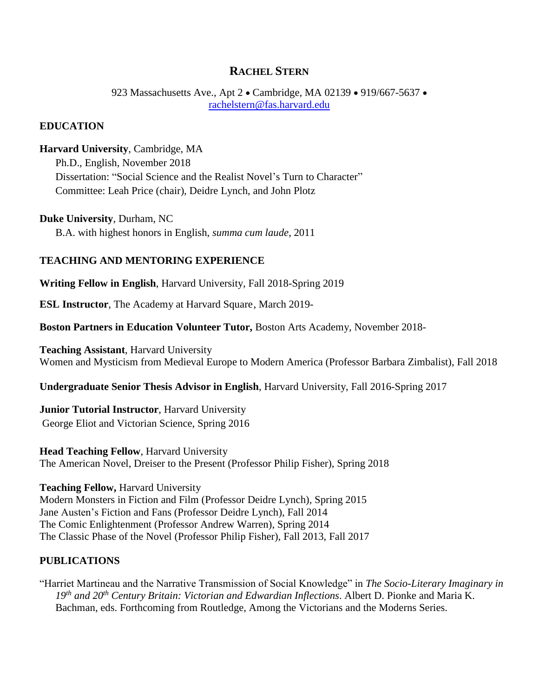# **RACHEL STERN**

923 Massachusetts Ave., Apt 2 · Cambridge, MA 02139 · 919/667-5637 · [rachelstern@fas.harvard.edu](mailto:rachelstern@fas.harvard.edu)

### **EDUCATION**

## **Harvard University**, Cambridge, MA

Ph.D., English, November 2018 Dissertation: "Social Science and the Realist Novel's Turn to Character" Committee: Leah Price (chair), Deidre Lynch, and John Plotz

**Duke University**, Durham, NC B.A. with highest honors in English, *summa cum laude*, 2011

#### **TEACHING AND MENTORING EXPERIENCE**

**Writing Fellow in English**, Harvard University, Fall 2018-Spring 2019

**ESL Instructor**, The Academy at Harvard Square, March 2019-

**Boston Partners in Education Volunteer Tutor,** Boston Arts Academy, November 2018-

**Teaching Assistant**, Harvard University Women and Mysticism from Medieval Europe to Modern America (Professor Barbara Zimbalist), Fall 2018

**Undergraduate Senior Thesis Advisor in English**, Harvard University, Fall 2016-Spring 2017

**Junior Tutorial Instructor**, Harvard University George Eliot and Victorian Science, Spring 2016

**Head Teaching Fellow**, Harvard University The American Novel, Dreiser to the Present (Professor Philip Fisher), Spring 2018

**Teaching Fellow,** Harvard University Modern Monsters in Fiction and Film (Professor Deidre Lynch), Spring 2015 Jane Austen's Fiction and Fans (Professor Deidre Lynch), Fall 2014 The Comic Enlightenment (Professor Andrew Warren), Spring 2014 The Classic Phase of the Novel (Professor Philip Fisher), Fall 2013, Fall 2017

### **PUBLICATIONS**

"Harriet Martineau and the Narrative Transmission of Social Knowledge" in *The Socio-Literary Imaginary in 19th and 20th Century Britain: Victorian and Edwardian Inflections*. Albert D. Pionke and Maria K. Bachman, eds. Forthcoming from Routledge, Among the Victorians and the Moderns Series.